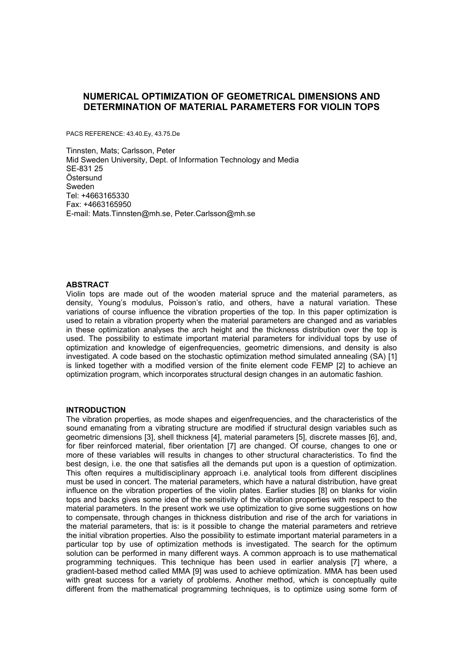# **NUMERICAL OPTIMIZATION OF GEOMETRICAL DIMENSIONS AND DETERMINATION OF MATERIAL PARAMETERS FOR VIOLIN TOPS**

PACS REFERENCE: 43.40.Ey, 43.75.De

Tinnsten, Mats; Carlsson, Peter Mid Sweden University, Dept. of Information Technology and Media SE-831 25 Östersund Sweden Tel: +4663165330 Fax: +4663165950 E-mail: Mats.Tinnsten@mh.se, Peter.Carlsson@mh.se

## **ABSTRACT**

Violin tops are made out of the wooden material spruce and the material parameters, as density, Young's modulus, Poisson's ratio, and others, have a natural variation. These variations of course influence the vibration properties of the top. In this paper optimization is used to retain a vibration property when the material parameters are changed and as variables in these optimization analyses the arch height and the thickness distribution over the top is used. The possibility to estimate important material parameters for individual tops by use of optimization and knowledge of eigenfrequencies, geometric dimensions, and density is also investigated. A code based on the stochastic optimization method simulated annealing (SA) [1] is linked together with a modified version of the finite element code FEMP [2] to achieve an optimization program, which incorporates structural design changes in an automatic fashion.

#### **INTRODUCTION**

The vibration properties, as mode shapes and eigenfrequencies, and the characteristics of the sound emanating from a vibrating structure are modified if structural design variables such as geometric dimensions [3], shell thickness [4], material parameters [5], discrete masses [6], and, for fiber reinforced material, fiber orientation [7] are changed. Of course, changes to one or more of these variables will results in changes to other structural characteristics. To find the best design, i.e. the one that satisfies all the demands put upon is a question of optimization. This often requires a multidisciplinary approach i.e. analytical tools from different disciplines must be used in concert. The material parameters, which have a natural distribution, have great influence on the vibration properties of the violin plates. Earlier studies [8] on blanks for violin tops and backs gives some idea of the sensitivity of the vibration properties with respect to the material parameters. In the present work we use optimization to give some suggestions on how to compensate, through changes in thickness distribution and rise of the arch for variations in the material parameters, that is: is it possible to change the material parameters and retrieve the initial vibration properties. Also the possibility to estimate important material parameters in a particular top by use of optimization methods is investigated. The search for the optimum solution can be performed in many different ways. A common approach is to use mathematical programming techniques. This technique has been used in earlier analysis [7] where, a gradient-based method called MMA [9] was used to achieve optimization. MMA has been used with great success for a variety of problems. Another method, which is conceptually quite different from the mathematical programming techniques, is to optimize using some form of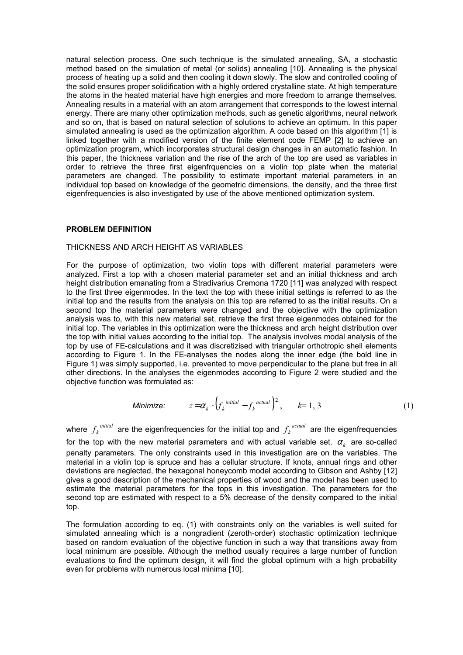natural selection process. One such technique is the simulated annealing, SA, a stochastic method based on the simulation of metal (or solids) annealing [10]. Annealing is the physical process of heating up a solid and then cooling it down slowly. The slow and controlled cooling of the solid ensures proper solidification with a highly ordered crystalline state. At high temperature the atoms in the heated material have high energies and more freedom to arrange themselves. Annealing results in a material with an atom arrangement that corresponds to the lowest internal energy. There are many other optimization methods, such as genetic algorithms, neural network and so on, that is based on natural selection of solutions to achieve an optimum. In this paper simulated annealing is used as the optimization algorithm. A code based on this algorithm [1] is linked together with a modified version of the finite element code FEMP [2] to achieve an optimization program, which incorporates structural design changes in an automatic fashion. In this paper, the thickness variation and the rise of the arch of the top are used as variables in order to retrieve the three first eigenfrquencies on a violin top plate when the material parameters are changed. The possibility to estimate important material parameters in an individual top based on knowledge of the geometric dimensions, the density, and the three first eigenfrequencies is also investigated by use of the above mentioned optimization system.

## **PROBLEM DEFINITION**

# THICKNESS AND ARCH HEIGHT AS VARIABLES

For the purpose of optimization, two violin tops with different material parameters were analyzed. First a top with a chosen material parameter set and an initial thickness and arch height distribution emanating from a Stradivarius Cremona 1720 [11] was analyzed with respect to the first three eigenmodes. In the text the top with these initial settings is referred to as the initial top and the results from the analysis on this top are referred to as the initial results. On a second top the material parameters were changed and the objective with the optimization analysis was to, with this new material set, retrieve the first three eigenmodes obtained for the initial top. The variables in this optimization were the thickness and arch height distribution over the top with initial values according to the initial top. The analysis involves modal analysis of the top by use of FE-calculations and it was discretizised with triangular orthotropic shell elements according to Figure 1. In the FE-analyses the nodes along the inner edge (the bold line in Figure 1) was simply supported, i.e. prevented to move perpendicular to the plane but free in all other directions. In the analyses the eigenmodes according to Figure 2 were studied and the objective function was formulated as:

Minimize: 
$$
z = \alpha_k \cdot \left(f_k^{\text{initial}} - f_k^{\text{actual}}\right)^2, \qquad k = 1, 3
$$
 (1)

where  $f_k^{\text{initial}}$  are the eigenfrequencies for the initial top and  $f_k^{\text{actual}}$  are the eigenfrequencies for the top with the new material parameters and with actual variable set.  $\alpha_k$  are so-called penalty parameters. The only constraints used in this investigation are on the variables. The material in a violin top is spruce and has a cellular structure. If knots, annual rings and other deviations are neglected, the hexagonal honeycomb model according to Gibson and Ashby [12] gives a good description of the mechanical properties of wood and the model has been used to estimate the material parameters for the tops in this investigation. The parameters for the second top are estimated with respect to a 5% decrease of the density compared to the initial top.

The formulation according to eq. (1) with constraints only on the variables is well suited for simulated annealing which is a nongradient (zeroth-order) stochastic optimization technique based on random evaluation of the objective function in such a way that transitions away from local minimum are possible. Although the method usually requires a large number of function evaluations to find the optimum design, it will find the global optimum with a high probability even for problems with numerous local minima [10].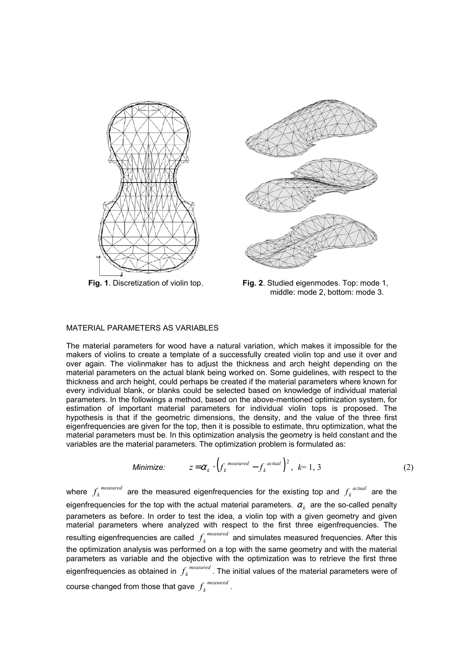





**Fig. 1**. Discretization of violin top. **Fig. 2**. Studied eigenmodes. Top: mode 1, middle: mode 2, bottom: mode 3.

## MATERIAL PARAMETERS AS VARIABLES

The material parameters for wood have a natural variation, which makes it impossible for the makers of violins to create a template of a successfully created violin top and use it over and over again. The violinmaker has to adjust the thickness and arch height depending on the material parameters on the actual blank being worked on. Some guidelines, with respect to the thickness and arch height, could perhaps be created if the material parameters where known for every individual blank, or blanks could be selected based on knowledge of individual material parameters. In the followings a method, based on the above-mentioned optimization system, for estimation of important material parameters for individual violin tops is proposed. The hypothesis is that if the geometric dimensions, the density, and the value of the three first eigenfrequencies are given for the top, then it is possible to estimate, thru optimization, what the material parameters must be. In this optimization analysis the geometry is held constant and the variables are the material parameters. The optimization problem is formulated as:

Minimize: 
$$
z = \alpha_k \cdot \left(f_k^{\text{measured}} - f_k^{\text{actual}}\right)^2, k = 1, 3
$$
 (2)

where  $f_k^{measured}$  are the measured eigenfrequencies for the existing top and  $f_k^{actual}$  are the eigenfrequencies for the top with the actual material parameters.  $\alpha_{_k}$  are the so-called penalty parameters as before. In order to test the idea, a violin top with a given geometry and given material parameters where analyzed with respect to the first three eigenfrequencies. The resulting eigenfrequencies are called  $f_k^{\textit{measured}}$  and simulates measured frequencies. After this the optimization analysis was performed on a top with the same geometry and with the material parameters as variable and the objective with the optimization was to retrieve the first three eigenfrequencies as obtained in  $f_{\scriptscriptstyle k}^{\scriptscriptstyle\; measured}$  . The initial values of the material parameters were of course changed from those that gave  $f_k^{\textit{measured}}$  .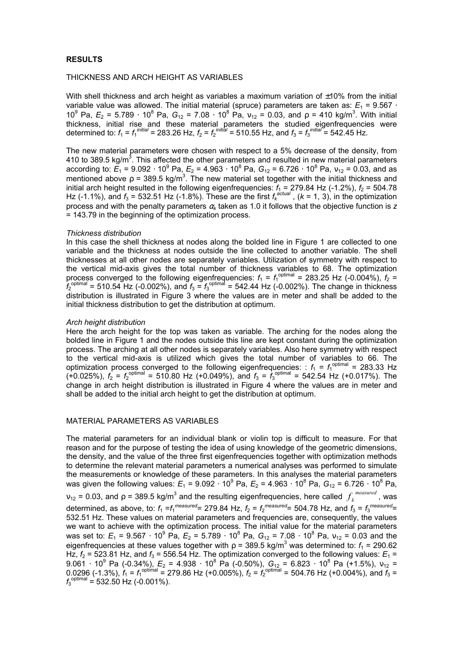## **RESULTS**

#### THICKNESS AND ARCH HEIGHT AS VARIABLES

With shell thickness and arch height as variables a maximum variation of  $\pm 10\%$  from the initial variable value was allowed. The initial material (spruce) parameters are taken as:  $E_1$  = 9.567 · 10<sup>9</sup> Pa,  $E_2 = 5.789 \cdot 10^8$  Pa,  $G_{12} = 7.08 \cdot 10^8$  Pa,  $v_{12} = 0.03$ , and  $ρ = 410$  kg/m<sup>3</sup>. With initial thickness, initial rise and these material parameters the studied eigenfrequencies were determined to:  $f_1 = f_1^{initial} = 283.26$  Hz,  $f_2 = f_2^{initial} = 510.55$  Hz, and  $f_3 = f_3^{initial} = 542.45$  Hz.

The new material parameters were chosen with respect to a 5% decrease of the density, from 410 to 389.5 kg/m<sup>3</sup>. This affected the other parameters and resulted in new material parameters according to:  $E_1$  = 9.092 ⋅ 10<sup>9</sup> Pa,  $E_2$  = 4.963 ⋅ 10<sup>8</sup> Pa,  $G_{12}$  = 6.726 ⋅ 10<sup>8</sup> Pa,  $v_{12}$  = 0.03, and as mentioned above  $\rho$  = 389.5 kg/m<sup>3</sup>. The new material set together with the initial thickness and initial arch height resulted in the following eigenfrequencies:  $f_1 = 279.84$  Hz (-1.2%),  $f_2 = 504.78$ <br>Hz (-1.1%), and  $f_2 = 522.54$  Hz (-1.8%). These are the first f<sup>actual</sup> ((-1.4.2), in the ontimization Hz (-1.1%), and  $f_3$  = 532.51 Hz (-1.8%). These are the first  $f_k^{\text{actual}}$ , ( $k$  = 1, 3), in the optimization process and with the penalty parameters <sup>α</sup>*k* taken as 1.0 it follows that the objective function is *z* = 143.79 in the beginning of the optimization process.

#### *Thickness distribution*

In this case the shell thickness at nodes along the bolded line in Figure 1 are collected to one variable and the thickness at nodes outside the line collected to another variable. The shell thicknesses at all other nodes are separately variables. Utilization of symmetry with respect to the vertical mid-axis gives the total number of thickness variables to 68. The optimization process converged to the following eigenfrequencies:  $f_1 = f_1^{\text{optimal}} = 283.25 \text{ Hz } (-0.004\%), f_2 =$  $f_2^{\text{optimal}}$  = 510.54 Hz (-0.002%), and  $f_3 = f_3^{\text{optimal}}$  = 542.44 Hz (-0.002%). The change in thickness distribution is illustrated in Figure 3 where the values are in meter and shall be added to the initial thickness distribution to get the distribution at optimum.

#### *Arch height distribution*

Here the arch height for the top was taken as variable. The arching for the nodes along the bolded line in Figure 1 and the nodes outside this line are kept constant during the optimization process. The arching at all other nodes is separately variables. Also here symmetry with respect to the vertical mid-axis is utilized which gives the total number of variables to 66. The optimization process converged to the following eigenfrequencies:  $f_1 = f_1^{\text{optimal}} = 283.33 \text{ Hz}$  $(+0.025\%)$ ,  $f_2 = f_2^{\text{optimal}} = 510.80 \text{ Hz } (+0.049\%)$ , and  $f_3 = f_3^{\text{optimal}} = 542.54 \text{ Hz } (+0.017\%)$ . The change in arch height distribution is illustrated in Figure 4 where the values are in meter and shall be added to the initial arch height to get the distribution at optimum.

## MATERIAL PARAMETERS AS VARIABLES

The material parameters for an individual blank or violin top is difficult to measure. For that reason and for the purpose of testing the idea of using knowledge of the geometric dimensions, the density, and the value of the three first eigenfrequencies together with optimization methods to determine the relevant material parameters a numerical analyses was performed to simulate the measurements or knowledge of these parameters. In this analyses the material parameters was given the following values:  $E_1 = 9.092 \cdot 10^9$  Pa,  $E_2 = 4.963 \cdot 10^8$  Pa,  $G_{12} = 6.726 \cdot 10^8$  Pa,  $v_{12}$  = 0.03, and ρ = 389.5 kg/m<sup>3</sup> and the resulting eigenfrequencies, here called  $f_k^{measured}$ , was determined, as above, to:  $f_1 = f_1^{measured} = 279.84$  Hz,  $f_2 = f_2^{measured} = 504.78$  Hz, and  $f_3 = f_3^{measured} =$ 532.51 Hz. These values on material parameters and frequencies are, consequently, the values we want to achieve with the optimization process. The initial value for the material parameters was set to:  $E_1$  = 9.567 ⋅ 10<sup>9</sup> Pa,  $E_2$  = 5.789 ⋅ 10<sup>8</sup> Pa,  $G_{12}$  = 7.08 ⋅ 10<sup>8</sup> Pa,  $v_{12}$  = 0.03 and the eigenfrequencies at these values together with  $\rho$  = 389.5 kg/m<sup>3</sup> was determined to:  $f_1$  = 290.62 Hz,  $f_2$  = 523.81 Hz, and  $f_3$  = 556.54 Hz. The optimization converged to the following values:  $E_1$  = 9.061 ⋅ 10<sup>9</sup> Pa (-0.34%),  $E_2$  = 4.938 ⋅ 10<sup>8</sup> Pa (-0.50%),  $G_{12}$  = 6.823 ⋅ 10<sup>8</sup> Pa (+1.5%),  $v_{12}$  = 0.0296 (-1.3%),  $\dot{f}_1 = f_1^{\text{optimal}} = 279.86 \text{ Hz } (+0.005\%)$ ,  $f_2 = f_2^{\text{optimal}} = 504.76 \text{ Hz } (+0.004\%)$ , and  $\dot{f}_3 =$  $f_3^{\text{optimal}} = 532.50 \text{ Hz}$  (-0.001%).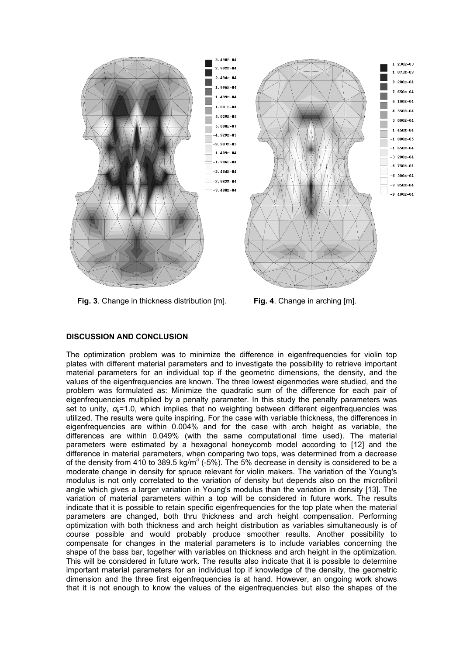

**Fig. 3**. Change in thickness distribution [m]. **Fig. 4**. Change in arching [m].

## **DISCUSSION AND CONCLUSION**

The optimization problem was to minimize the difference in eigenfrequencies for violin top plates with different material parameters and to investigate the possibility to retrieve important material parameters for an individual top if the geometric dimensions, the density, and the values of the eigenfrequencies are known. The three lowest eigenmodes were studied, and the problem was formulated as: Minimize the quadratic sum of the difference for each pair of eigenfrequencies multiplied by a penalty parameter. In this study the penalty parameters was set to unity, <sup>α</sup>*k*=1.0, which implies that no weighting between different eigenfrequencies was utilized. The results were quite inspiring. For the case with variable thickness, the differences in eigenfrequencies are within 0.004% and for the case with arch height as variable, the differences are within 0.049% (with the same computational time used). The material parameters were estimated by a hexagonal honeycomb model according to [12] and the difference in material parameters, when comparing two tops, was determined from a decrease of the density from 410 to 389.5 kg/m<sup>3</sup> (-5%). The 5% decrease in density is considered to be a moderate change in density for spruce relevant for violin makers. The variation of the Young's modulus is not only correlated to the variation of density but depends also on the microfibril angle which gives a larger variation in Young's modulus than the variation in density [13]. The variation of material parameters within a top will be considered in future work. The results indicate that it is possible to retain specific eigenfrequencies for the top plate when the material parameters are changed, both thru thickness and arch height compensation. Performing optimization with both thickness and arch height distribution as variables simultaneously is of course possible and would probably produce smoother results. Another possibility to compensate for changes in the material parameters is to include variables concerning the shape of the bass bar, together with variables on thickness and arch height in the optimization. This will be considered in future work. The results also indicate that it is possible to determine important material parameters for an individual top if knowledge of the density, the geometric dimension and the three first eigenfrequencies is at hand. However, an ongoing work shows that it is not enough to know the values of the eigenfrequencies but also the shapes of the